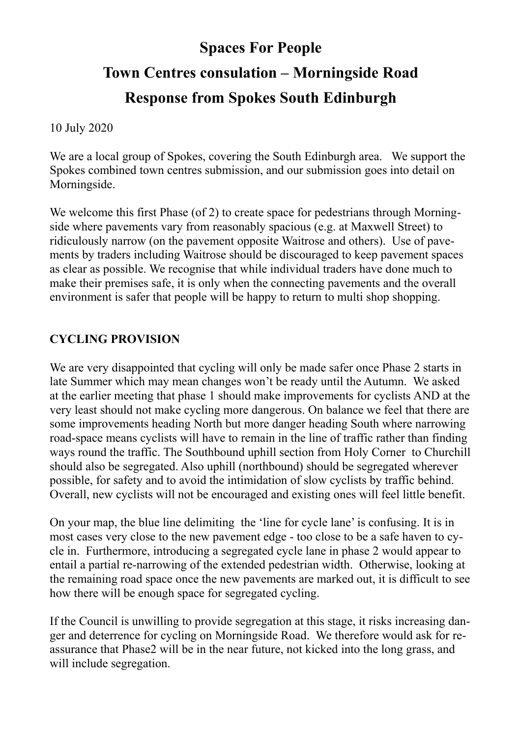# **Spaces For People Town Centres consulation – Morningside Road Response from Spokes South Edinburgh**

10 July 2020

We are a local group of Spokes, covering the South Edinburgh area. We support the Spokes combined town centres submission, and our submission goes into detail on Morningside.

We welcome this first Phase (of 2) to create space for pedestrians through Morningside where pavements vary from reasonably spacious (e.g. at Maxwell Street) to ridiculously narrow (on the pavement opposite Waitrose and others). Use of pavements by traders including Waitrose should be discouraged to keep pavement spaces as clear as possible. We recognise that while individual traders have done much to make their premises safe, it is only when the connecting pavements and the overall environment is safer that people will be happy to return to multi shop shopping.

#### **CYCLING PROVISION**

We are very disappointed that cycling will only be made safer once Phase 2 starts in late Summer which may mean changes won't be ready until the Autumn. We asked at the earlier meeting that phase 1 should make improvements for cyclists AND at the very least should not make cycling more dangerous. On balance we feel that there are some improvements heading North but more danger heading South where narrowing road-space means cyclists will have to remain in the line of traffic rather than finding ways round the traffic. The Southbound uphill section from Holy Corner to Churchill should also be segregated. Also uphill (northbound) should be segregated wherever possible, for safety and to avoid the intimidation of slow cyclists by traffic behind. Overall, new cyclists will not be encouraged and existing ones will feel little benefit.

On your map, the blue line delimiting the 'line for cycle lane' is confusing. It is in most cases very close to the new pavement edge - too close to be a safe haven to cycle in. Furthermore, introducing a segregated cycle lane in phase 2 would appear to entail a partial re-narrowing of the extended pedestrian width. Otherwise, looking at the remaining road space once the new pavements are marked out, it is difficult to see how there will be enough space for segregated cycling.

If the Council is unwilling to provide segregation at this stage, it risks increasing danger and deterrence for cycling on Morningside Road. We therefore would ask for reassurance that Phase2 will be in the near future, not kicked into the long grass, and will include segregation.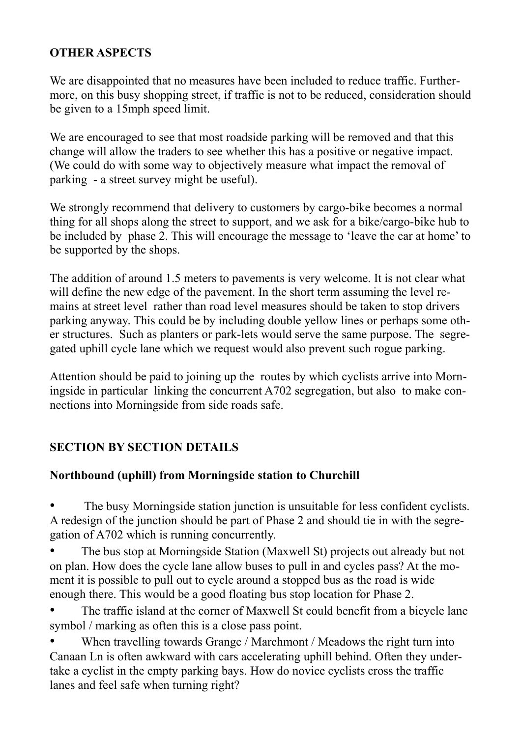#### **OTHER ASPECTS**

We are disappointed that no measures have been included to reduce traffic. Furthermore, on this busy shopping street, if traffic is not to be reduced, consideration should be given to a 15mph speed limit.

We are encouraged to see that most roadside parking will be removed and that this change will allow the traders to see whether this has a positive or negative impact. (We could do with some way to objectively measure what impact the removal of parking - a street survey might be useful).

We strongly recommend that delivery to customers by cargo-bike becomes a normal thing for all shops along the street to support, and we ask for a bike/cargo-bike hub to be included by phase 2. This will encourage the message to 'leave the car at home' to be supported by the shops.

The addition of around 1.5 meters to pavements is very welcome. It is not clear what will define the new edge of the pavement. In the short term assuming the level remains at street level rather than road level measures should be taken to stop drivers parking anyway. This could be by including double yellow lines or perhaps some other structures. Such as planters or park-lets would serve the same purpose. The segregated uphill cycle lane which we request would also prevent such rogue parking.

Attention should be paid to joining up the routes by which cyclists arrive into Morningside in particular linking the concurrent A702 segregation, but also to make connections into Morningside from side roads safe.

# **SECTION BY SECTION DETAILS**

# **Northbound (uphill) from Morningside station to Churchill**

The busy Morningside station junction is unsuitable for less confident cyclists. A redesign of the junction should be part of Phase 2 and should tie in with the segregation of A702 which is running concurrently.

• The bus stop at Morningside Station (Maxwell St) projects out already but not on plan. How does the cycle lane allow buses to pull in and cycles pass? At the moment it is possible to pull out to cycle around a stopped bus as the road is wide enough there. This would be a good floating bus stop location for Phase 2.

The traffic island at the corner of Maxwell St could benefit from a bicycle lane symbol / marking as often this is a close pass point.

When travelling towards Grange / Marchmont / Meadows the right turn into Canaan Ln is often awkward with cars accelerating uphill behind. Often they undertake a cyclist in the empty parking bays. How do novice cyclists cross the traffic lanes and feel safe when turning right?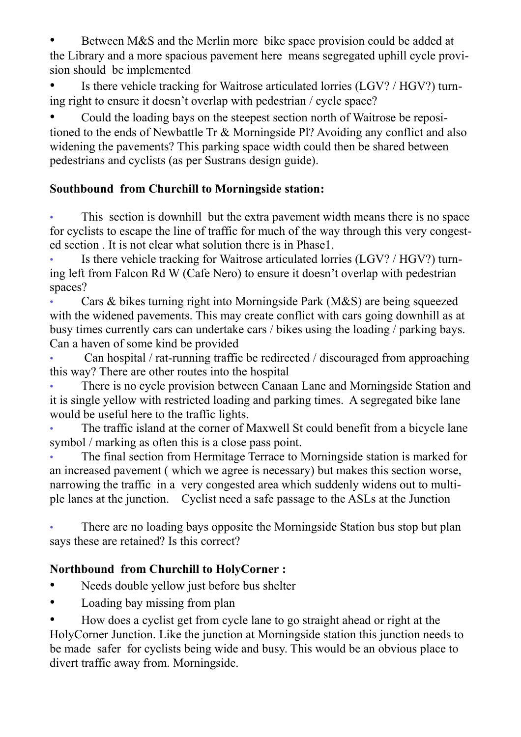Between M&S and the Merlin more bike space provision could be added at the Library and a more spacious pavement here means segregated uphill cycle provision should be implemented

Is there vehicle tracking for Waitrose articulated lorries (LGV? / HGV?) turning right to ensure it doesn't overlap with pedestrian / cycle space?

• Could the loading bays on the steepest section north of Waitrose be repositioned to the ends of Newbattle Tr & Morningside Pl? Avoiding any conflict and also widening the pavements? This parking space width could then be shared between pedestrians and cyclists (as per Sustrans design guide).

# **Southbound from Churchill to Morningside station:**

This section is downhill but the extra pavement width means there is no space for cyclists to escape the line of traffic for much of the way through this very congested section . It is not clear what solution there is in Phase1.

Is there vehicle tracking for Waitrose articulated lorries (LGV? / HGV?) turning left from Falcon Rd W (Cafe Nero) to ensure it doesn't overlap with pedestrian spaces?

• Cars & bikes turning right into Morningside Park (M&S) are being squeezed with the widened pavements. This may create conflict with cars going downhill as at busy times currently cars can undertake cars / bikes using the loading / parking bays. Can a haven of some kind be provided

• Can hospital / rat-running traffic be redirected / discouraged from approaching this way? There are other routes into the hospital

• There is no cycle provision between Canaan Lane and Morningside Station and it is single yellow with restricted loading and parking times. A segregated bike lane would be useful here to the traffic lights.

The traffic island at the corner of Maxwell St could benefit from a bicycle lane symbol / marking as often this is a close pass point.

• The final section from Hermitage Terrace to Morningside station is marked for an increased pavement ( which we agree is necessary) but makes this section worse, narrowing the traffic in a very congested area which suddenly widens out to multiple lanes at the junction. Cyclist need a safe passage to the ASLs at the Junction

There are no loading bays opposite the Morningside Station bus stop but plan says these are retained? Is this correct?

# **Northbound from Churchill to HolyCorner :**

- Needs double yellow just before bus shelter
- Loading bay missing from plan

• How does a cyclist get from cycle lane to go straight ahead or right at the HolyCorner Junction. Like the junction at Morningside station this junction needs to be made safer for cyclists being wide and busy. This would be an obvious place to divert traffic away from. Morningside.